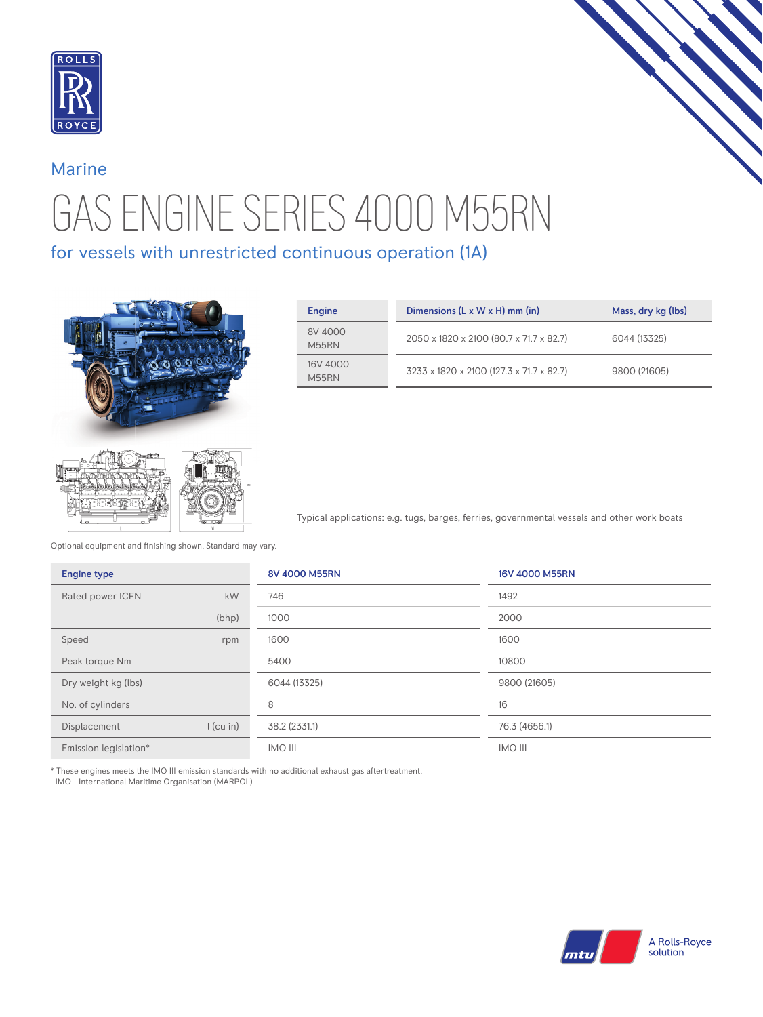

## GAS ENGINE SERIES 4000 M55RN Marine

for vessels with unrestricted continuous operation (1A)



| Engine            | Dimensions $(L \times W \times H)$ mm (in) | Mass, dry kg (lbs) |
|-------------------|--------------------------------------------|--------------------|
| 8V 4000<br>M55RN  | 2050 x 1820 x 2100 (80.7 x 71.7 x 82.7)    | 6044 (13325)       |
| 16V 4000<br>M55RN | 3233 x 1820 x 2100 (127.3 x 71.7 x 82.7)   | 9800 (21605)       |

Typical applications: e.g. tugs, barges, ferries, governmental vessels and other work boats

Optional equipment and finishing shown. Standard may vary.

| <b>Engine type</b>    |             | 8V 4000 M55RN  | 16V 4000 M55RN |
|-----------------------|-------------|----------------|----------------|
| Rated power ICFN      | kW          | 746            | 1492           |
|                       | (bhp)       | 1000           | 2000           |
| Speed                 | rpm         | 1600           | 1600           |
| Peak torque Nm        |             | 5400           | 10800          |
| Dry weight kg (lbs)   |             | 6044 (13325)   | 9800 (21605)   |
| No. of cylinders      |             | 8              | 16             |
| Displacement          | $l$ (cu in) | 38.2 (2331.1)  | 76.3 (4656.1)  |
| Emission legislation* |             | <b>INO III</b> | <b>IMO III</b> |

\* These engines meets the IMO III emission standards with no additional exhaust gas aftertreatment.